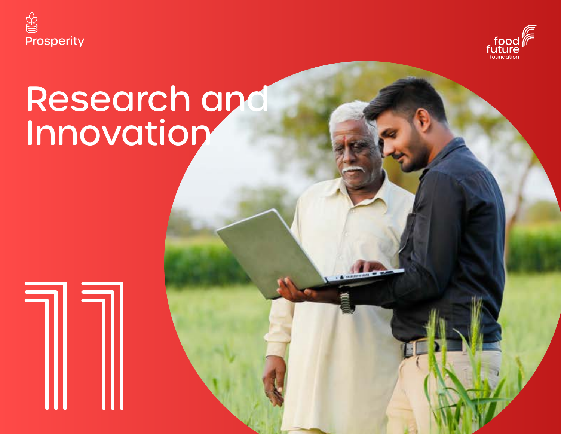



# Research and Innovation

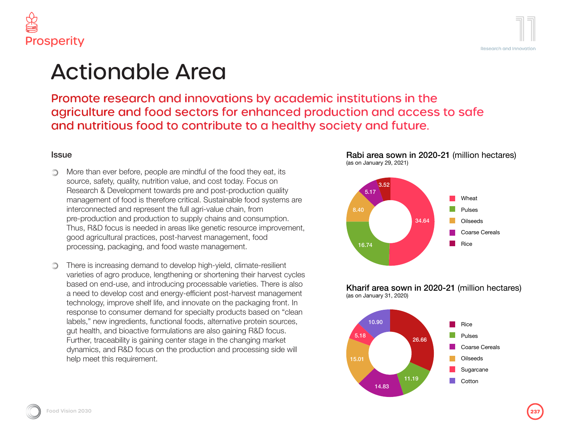

### Actionable Area

Promote research and innovations by academic institutions in the agriculture and food sectors for enhanced production and access to safe and nutritious food to contribute to a healthy society and future.

### Issue

- More than ever before, people are mindful of the food they eat, its ∩ source, safety, quality, nutrition value, and cost today. Focus on Research & Development towards pre and post-production quality management of food is therefore critical. Sustainable food systems are interconnected and represent the full agri-value chain, from pre-production and production to supply chains and consumption. Thus, R&D focus is needed in areas like genetic resource improvement, good agricultural practices, post-harvest management, food processing, packaging, and food waste management.
- There is increasing demand to develop high-yield, climate-resilient ∩ varieties of agro produce, lengthening or shortening their harvest cycles based on end-use, and introducing processable varieties. There is also a need to develop cost and energy-efficient post-harvest management technology, improve shelf life, and innovate on the packaging front. In response to consumer demand for specialty products based on "clean labels," new ingredients, functional foods, alternative protein sources, gut health, and bioactive formulations are also gaining R&D focus. Further, traceability is gaining center stage in the changing market dynamics, and R&D focus on the production and processing side will help meet this requirement.



16.74

Rabi area sown in 2020-21 (million hectares)

#### Kharif area sown in 2020-21 (million hectares) (as on January 31, 2020)

Rice

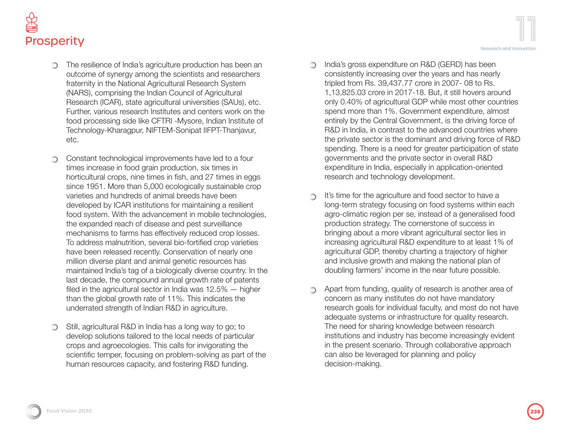

- The resilience of India's agriculture production has been an outcome of synergy among the scientists and researchers fraternity in the National Agricultural Research System (NARS), comprising the Indian Council of Agricultural Research (ICAR), state agricultural universities (SAUs), etc. Further, various research Institutes and centers work on the food processing side like CFTRI -Mysore, Indian Institute of Technology-Kharagpur, NIFTEM-Sonipat IIFPT-Thanjavur, etc.
- Constant technological improvements have led to a four times increase in food grain production, six times in horticultural crops, nine times in fish, and 27 times in eggs since 1951. More than 5,000 ecologically sustainable crop varieties and hundreds of animal breeds have been developed by ICAR institutions for maintaining a resilient food system. With the advancement in mobile technologies, the expanded reach of disease and pest surveillance mechanisms to farms has effectively reduced crop losses. To address malnutrition, several bio-fortified crop varieties have been released recently. Conservation of nearly one million diverse plant and animal genetic resources has maintained India's tag of a biologically diverse country. In the last decade, the compound annual growth rate of patents filed in the agricultural sector in India was 12.5% — higher than the global growth rate of 11%. This indicates the underrated strength of Indian R&D in agriculture.
- Still, agricultural R&D in India has a long way to go; to  $\circledcirc$ develop solutions tailored to the local needs of particular crops and agroecologies. This calls for invigorating the scientific temper, focusing on problem-solving as part of the human resources capacity, and fostering R&D funding.
- India's gross expenditure on R&D (GERD) has been consistently increasing over the years and has nearly tripled from Rs. 39,437.77 crore in 2007- 08 to Rs. 1,13,825.03 crore in 2017-18. But, it still hovers around only 0.40% of agricultural GDP while most other countries spend more than 1%. Government expenditure, almost entirely by the Central Government, is the driving force of R&D in India, in contrast to the advanced countries where the private sector is the dominant and driving force of R&D
- spending. There is a need for greater participation of state governments and the private sector in overall R&D expenditure in India, especially in application-oriented research and technology development.

∩

- It's time for the agriculture and food sector to have a ∩ long-term strategy focusing on food systems within each agro-climatic region per se, instead of a generalised food production strategy. The cornerstone of success in bringing about a more vibrant agricultural sector lies in increasing agricultural R&D expenditure to at least 1% of agricultural GDP, thereby charting a trajectory of higher and inclusive growth and making the national plan of doubling farmers' income in the near future possible.
- Apart from funding, quality of research is another area of ∩ concern as many institutes do not have mandatory research goals for individual faculty, and most do not have adequate systems or infrastructure for quality research. The need for sharing knowledge between research institutions and industry has become increasingly evident in the present scenario. Through collaborative approach can also be leveraged for planning and policy decision-making.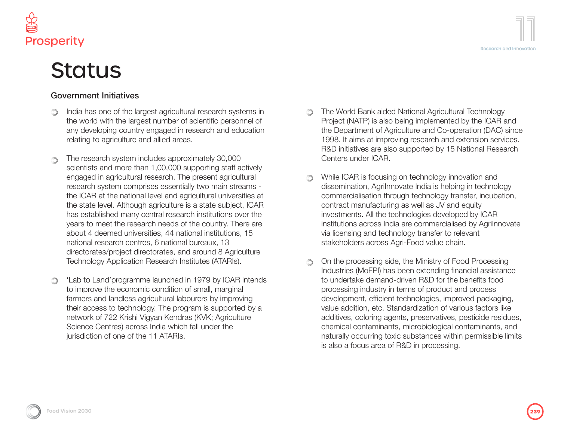



# **Status**

### Government Initiatives

- India has one of the largest agricultural research systems in ∩ the world with the largest number of scientific personnel of any developing country engaged in research and education relating to agriculture and allied areas.
- The research system includes approximately 30,000 O) scientists and more than 1,00,000 supporting staff actively engaged in agricultural research. The present agricultural research system comprises essentially two main streams the ICAR at the national level and agricultural universities at the state level. Although agriculture is a state subject, ICAR has established many central research institutions over the years to meet the research needs of the country. There are about 4 deemed universities, 44 national institutions, 15 national research centres, 6 national bureaux, 13 directorates/project directorates, and around 8 Agriculture Technology Application Research Institutes (ATARIs).
- 'Lab to Land'programme launched in 1979 by ICAR intends ∩ to improve the economic condition of small, marginal farmers and landless agricultural labourers by improving their access to technology. The program is supported by a network of 722 Krishi Vigyan Kendras (KVK; Agriculture Science Centres) across India which fall under the jurisdiction of one of the 11 ATARIs.
- The World Bank aided National Agricultural Technology Project (NATP) is also being implemented by the ICAR and the Department of Agriculture and Co-operation (DAC) since 1998. It aims at improving research and extension services. R&D initiatives are also supported by 15 National Research Centers under ICAR.
- While ICAR is focusing on technology innovation and dissemination, AgriInnovate India is helping in technology commercialisation through technology transfer, incubation, contract manufacturing as well as JV and equity investments. All the technologies developed by ICAR institutions across India are commercialised by AgriInnovate via licensing and technology transfer to relevant stakeholders across Agri-Food value chain.
- On the processing side, the Ministry of Food Processing ∩ Industries (MoFPI) has been extending financial assistance to undertake demand-driven R&D for the benefits food processing industry in terms of product and process development, efficient technologies, improved packaging, value addition, etc. Standardization of various factors like additives, coloring agents, preservatives, pesticide residues, chemical contaminants, microbiological contaminants, and naturally occurring toxic substances within permissible limits is also a focus area of R&D in processing.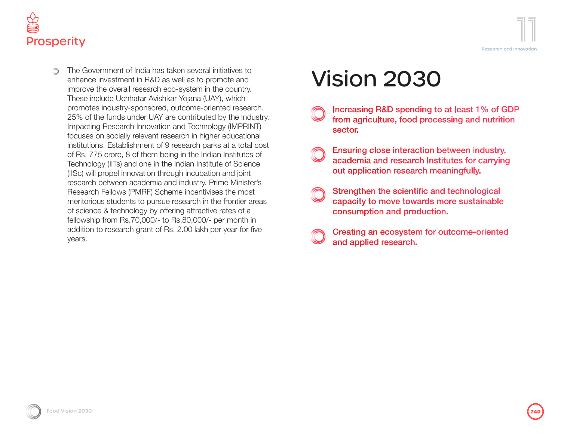



The Government of India has taken several initiatives to enhance investment in R&D as well as to promote and improve the overall research eco-system in the country. These include Uchhatar Avishkar Yojana (UAY), which promotes industry-sponsored, outcome-oriented research. 25% of the funds under UAY are contributed by the Industry. Impacting Research Innovation and Technology (IMPRINT) focuses on socially relevant research in higher educational institutions. Establishment of 9 research parks at a total cost of Rs. 775 crore, 8 of them being in the Indian Institutes of Technology (IITs) and one in the Indian Institute of Science (IISc) will propel innovation through incubation and joint research between academia and industry. Prime Minister's Research Fellows (PMRF) Scheme incentivises the most meritorious students to pursue research in the frontier areas of science & technology by offering attractive rates of a fellowship from Rs.70,000/- to Rs.80,000/- per month in addition to research grant of Rs. 2.00 lakh per year for five years.

# Vision 2030

- Increasing R&D spending to at least 1% of GDP from agriculture, food processing and nutrition sector.
- Ensuring close interaction between industry, academia and research Institutes for carrying out application research meaningfully.
- Strengthen the scientific and technological capacity to move towards more sustainable consumption and production.
- Creating an ecosystem for outcome-oriented and applied research.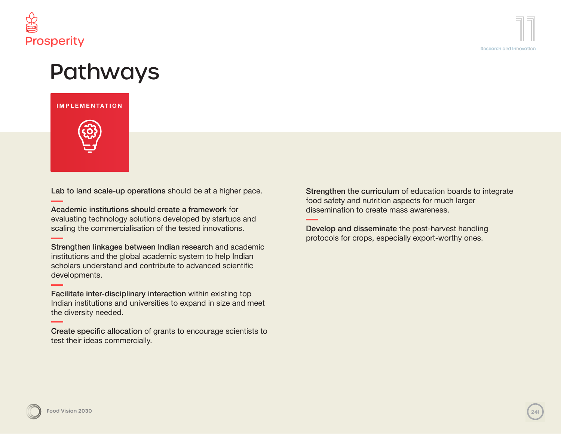

### Pathways

### **IMPLEMENTATION**



Lab to land scale-up operations should be at a higher pace.

Academic institutions should create a framework for evaluating technology solutions developed by startups and scaling the commercialisation of the tested innovations.

Strengthen linkages between Indian research and academic institutions and the global academic system to help Indian scholars understand and contribute to advanced scientific developments.

Facilitate inter-disciplinary interaction within existing top Indian institutions and universities to expand in size and meet the diversity needed.

Create specific allocation of grants to encourage scientists to test their ideas commercially.

Strengthen the curriculum of education boards to integrate food safety and nutrition aspects for much larger dissemination to create mass awareness.

Develop and disseminate the post-harvest handling protocols for crops, especially export-worthy ones.